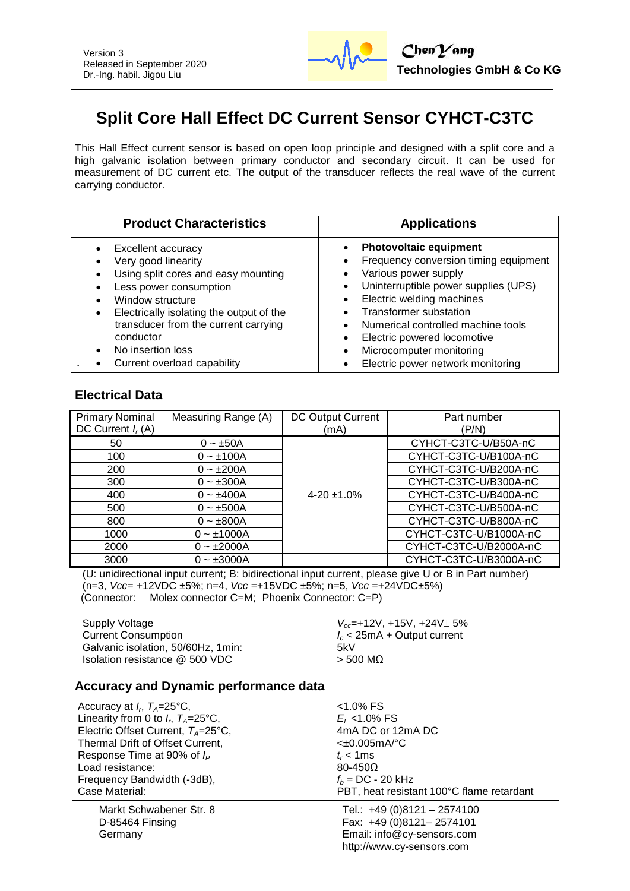

# **Split Core Hall Effect DC Current Sensor CYHCT-C3TC**

This Hall Effect current sensor is based on open loop principle and designed with a split core and a high galvanic isolation between primary conductor and secondary circuit. It can be used for measurement of DC current etc. The output of the transducer reflects the real wave of the current carrying conductor.

| <b>Product Characteristics</b>                                                                                                                                                                                                                                                           | <b>Applications</b>                                                                                                                                                                                                                                                                                                                        |
|------------------------------------------------------------------------------------------------------------------------------------------------------------------------------------------------------------------------------------------------------------------------------------------|--------------------------------------------------------------------------------------------------------------------------------------------------------------------------------------------------------------------------------------------------------------------------------------------------------------------------------------------|
| Excellent accuracy<br>Very good linearity<br>Using split cores and easy mounting<br>Less power consumption<br>Window structure<br>Electrically isolating the output of the<br>٠<br>transducer from the current carrying<br>conductor<br>No insertion loss<br>Current overload capability | <b>Photovoltaic equipment</b><br>Frequency conversion timing equipment<br>Various power supply<br>Uninterruptible power supplies (UPS)<br>Electric welding machines<br><b>Transformer substation</b><br>Numerical controlled machine tools<br>Electric powered locomotive<br>Microcomputer monitoring<br>Electric power network monitoring |

## **Electrical Data**

| <b>Primary Nominal</b><br>DC Current $I_r(A)$ | Measuring Range (A) | DC Output Current<br>(mA) | Part number<br>(P/N)   |
|-----------------------------------------------|---------------------|---------------------------|------------------------|
| 50                                            | $0 - \pm 50A$       |                           | CYHCT-C3TC-U/B50A-nC   |
| 100                                           | $0 - \pm 100A$      |                           | CYHCT-C3TC-U/B100A-nC  |
| 200                                           | $0 - \pm 200A$      |                           | CYHCT-C3TC-U/B200A-nC  |
| 300                                           | $0 - \pm 300A$      |                           | CYHCT-C3TC-U/B300A-nC  |
| 400                                           | $0 - \pm 400A$      | $4-20 \pm 1.0\%$          | CYHCT-C3TC-U/B400A-nC  |
| 500                                           | $0 - \pm 500A$      |                           | CYHCT-C3TC-U/B500A-nC  |
| 800                                           | $0 - \pm 800A$      |                           | CYHCT-C3TC-U/B800A-nC  |
| 1000                                          | $0 - 1000A$         |                           | CYHCT-C3TC-U/B1000A-nC |
| 2000                                          | $0 - \pm 2000A$     |                           | CYHCT-C3TC-U/B2000A-nC |
| 3000                                          | $0 - \pm 3000A$     |                           | CYHCT-C3TC-U/B3000A-nC |

(U: unidirectional input current; B: bidirectional input current, please give U or B in Part number) (n=3, *Vcc*= +12VDC ±5%; n=4, *Vcc* =+15VDC ±5%; n=5, *Vcc* =+24VDC±5%) (Connector: Molex connector C=M; Phoenix Connector: C=P)

Supply Voltage *V<sub>cc</sub>***=+12V, +15V, +24V**  $\pm$  5% Current Consumption *I<sup>c</sup>* < 25mA + Output current Galvanic isolation, 50/60Hz, 1min: 5kV Isolation resistance  $@$  500 VDC  $>$  500 MΩ

#### **Accuracy and Dynamic performance data**

Accuracy at  $I_r$ ,  $T_A$ =25°C,  $\hspace{1.6cm}$  <1.0% FS Linearity from 0 to  $I_c$ ,  $T_A = 25^{\circ}$ C. Electric Offset Current,  $T_A=25^{\circ}$ C,  $A \cap A$  DC or 12mA DC<br>Thermal Drift of Offset Current. Thermal Drift of Offset Current, Response Time at 90% of  $I_P$   $t_r < 1 \text{ms}$ <br>Load resistance:  $80-450\Omega$ Load resistance: Frequency Bandwidth (-3dB),  $f_b = DC - 20 \text{ kHz}$ <br>Case Material: *PBT* heat resista

Markt Schwabener Str. 8 D-85464 Finsing Germany

, *TA*=25°C, *E<sup>L</sup>* <1.0% FS PBT, heat resistant 100°C flame retardant

Tel.: +49 (0)8121 – 2574100 Fax: +49 (0)8121– 2574101 Email: info@cy-sensors.com http://www.cy-sensors.com